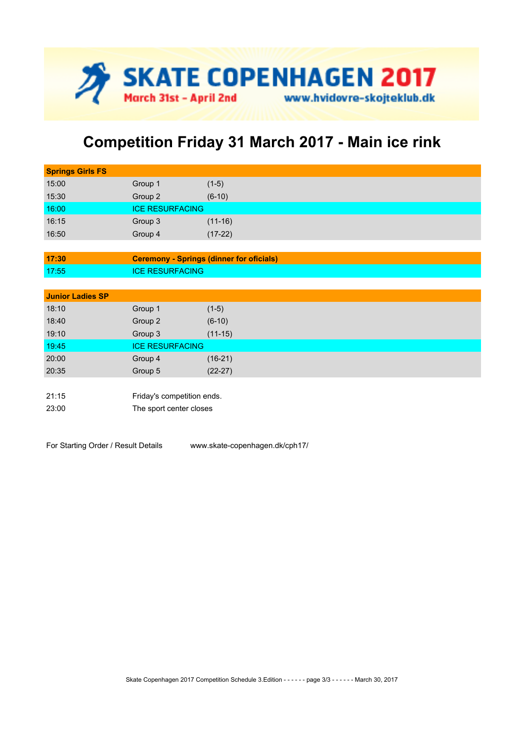

## **Competition Friday 31 March 2017 - Main ice rink**

| <b>Springs Girls FS</b> |                                                 |           |  |  |
|-------------------------|-------------------------------------------------|-----------|--|--|
| 15:00                   | Group 1                                         | $(1-5)$   |  |  |
| 15:30                   | Group 2                                         | $(6-10)$  |  |  |
| 16:00                   | <b>ICE RESURFACING</b>                          |           |  |  |
| 16:15                   | Group 3                                         | $(11-16)$ |  |  |
| 16:50                   | Group 4                                         | $(17-22)$ |  |  |
|                         |                                                 |           |  |  |
| 17:30                   | <b>Ceremony - Springs (dinner for oficials)</b> |           |  |  |
| 17:55                   | <b>ICE RESURFACING</b>                          |           |  |  |
|                         |                                                 |           |  |  |
| <b>Junior Ladies SP</b> |                                                 |           |  |  |
| 18:10                   | Group 1                                         | $(1-5)$   |  |  |
| 18:40                   | Group 2                                         | $(6-10)$  |  |  |
| 19:10                   | Group 3                                         | $(11-15)$ |  |  |
| 19:45                   | <b>ICE RESURFACING</b>                          |           |  |  |
| 20:00                   | Group 4                                         | $(16-21)$ |  |  |
| 20:35                   | Group 5                                         | $(22-27)$ |  |  |
|                         |                                                 |           |  |  |
| 21:15                   | Friday's competition ends.                      |           |  |  |
| 23:00                   | The sport center closes                         |           |  |  |
|                         |                                                 |           |  |  |

For Starting Order / Result Details www.skate-copenhagen.dk/cph17/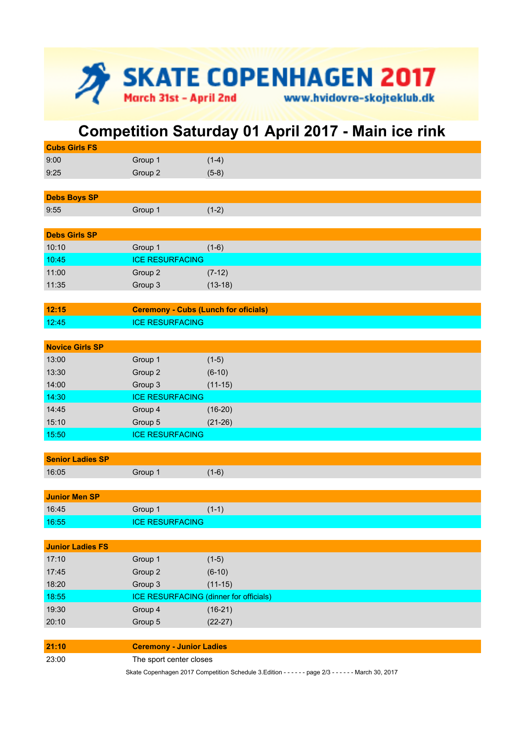

## **Competition Saturday 01 April 2017 - Main ice rink**

| <b>Cubs Girls FS</b>    |                                                                                                      |           |  |
|-------------------------|------------------------------------------------------------------------------------------------------|-----------|--|
| 9:00                    | Group 1                                                                                              | $(1-4)$   |  |
| 9:25                    | Group 2                                                                                              | $(5-8)$   |  |
|                         |                                                                                                      |           |  |
| <b>Debs Boys SP</b>     |                                                                                                      |           |  |
| 9:55                    | Group 1                                                                                              | $(1-2)$   |  |
|                         |                                                                                                      |           |  |
| <b>Debs Girls SP</b>    |                                                                                                      |           |  |
| 10:10                   | Group 1                                                                                              | $(1-6)$   |  |
| 10:45                   | <b>ICE RESURFACING</b>                                                                               |           |  |
| 11:00                   | Group 2                                                                                              | $(7-12)$  |  |
| 11:35                   | Group 3                                                                                              | $(13-18)$ |  |
|                         |                                                                                                      |           |  |
| 12:15                   | <b>Ceremony - Cubs (Lunch for oficials)</b>                                                          |           |  |
| 12:45                   | <b>ICE RESURFACING</b>                                                                               |           |  |
|                         |                                                                                                      |           |  |
| <b>Novice Girls SP</b>  |                                                                                                      |           |  |
| 13:00                   | Group 1                                                                                              | $(1-5)$   |  |
| 13:30                   | Group 2                                                                                              | $(6-10)$  |  |
| 14:00                   | Group 3                                                                                              | $(11-15)$ |  |
| 14:30                   | <b>ICE RESURFACING</b>                                                                               |           |  |
| 14:45                   | Group 4                                                                                              | $(16-20)$ |  |
| 15:10                   | Group 5                                                                                              | $(21-26)$ |  |
| 15:50                   | <b>ICE RESURFACING</b>                                                                               |           |  |
|                         |                                                                                                      |           |  |
| <b>Senior Ladies SP</b> |                                                                                                      |           |  |
| 16:05                   | Group 1                                                                                              | $(1-6)$   |  |
|                         |                                                                                                      |           |  |
| <b>Junior Men SP</b>    |                                                                                                      |           |  |
| 16:45                   | Group 1                                                                                              | $(1-1)$   |  |
| 16:55                   | <b>ICE RESURFACING</b>                                                                               |           |  |
|                         |                                                                                                      |           |  |
| <b>Junior Ladies FS</b> |                                                                                                      |           |  |
| 17:10                   | Group 1                                                                                              | $(1-5)$   |  |
| 17:45                   | Group 2                                                                                              | $(6-10)$  |  |
| 18:20                   | Group 3                                                                                              | $(11-15)$ |  |
| 18:55                   | <b>ICE RESURFACING (dinner for officials)</b>                                                        |           |  |
| 19:30                   | Group 4                                                                                              | $(16-21)$ |  |
| 20:10                   | Group 5                                                                                              | $(22-27)$ |  |
|                         |                                                                                                      |           |  |
| 21:10                   | <b>Ceremony - Junior Ladies</b>                                                                      |           |  |
| 23:00                   | The sport center closes                                                                              |           |  |
|                         | Skate Copenhagen 2017 Competition Schedule 3.Edition - - - - - - page 2/3 - - - - - - March 30, 2017 |           |  |